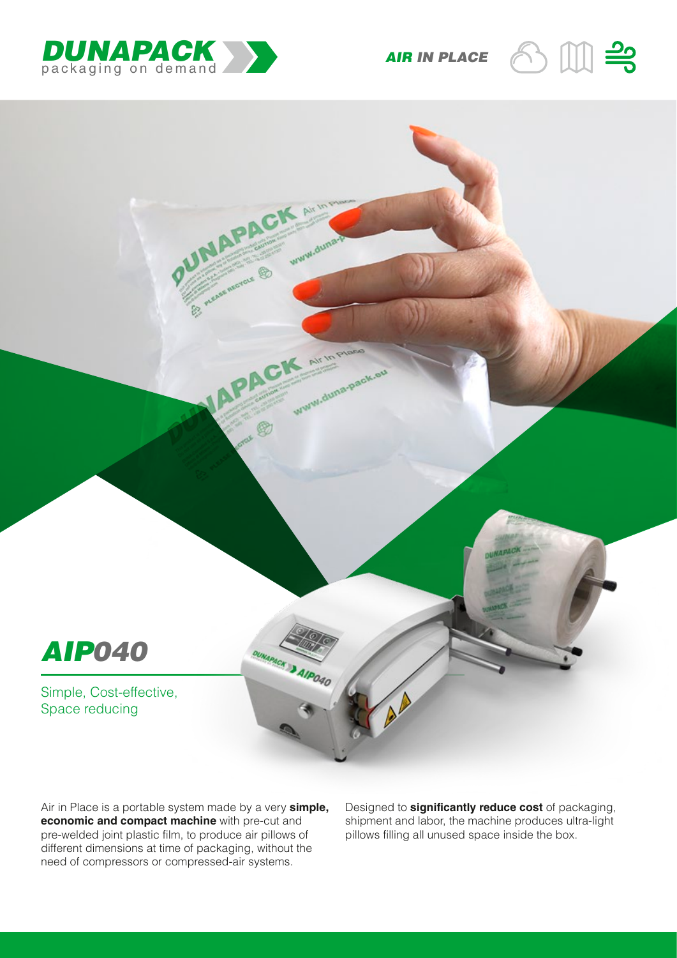





Air in Place is a portable system made by a very **simple, economic and compact machine** with pre-cut and pre-welded joint plastic film, to produce air pillows of different dimensions at time of packaging, without the need of compressors or compressed-air systems.

Designed to **significantly reduce cost** of packaging, shipment and labor, the machine produces ultra-light pillows filling all unused space inside the box.